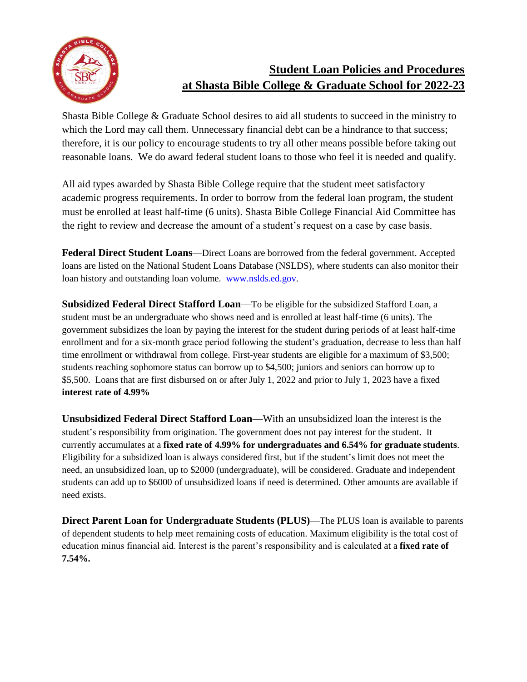

# **Student Loan Policies and Procedures at Shasta Bible College & Graduate School for 2022-23**

Shasta Bible College & Graduate School desires to aid all students to succeed in the ministry to which the Lord may call them. Unnecessary financial debt can be a hindrance to that success; therefore, it is our policy to encourage students to try all other means possible before taking out reasonable loans. We do award federal student loans to those who feel it is needed and qualify.

All aid types awarded by Shasta Bible College require that the student meet satisfactory academic progress requirements. In order to borrow from the federal loan program, the student must be enrolled at least half-time (6 units). Shasta Bible College Financial Aid Committee has the right to review and decrease the amount of a student's request on a case by case basis.

**Federal Direct Student Loans**—Direct Loans are borrowed from the federal government. Accepted loans are listed on the National Student Loans Database (NSLDS), where students can also monitor their loan history and outstanding loan volume. [www.nslds.ed.gov.](http://www.nslds.ed.gov/)

**Subsidized Federal Direct Stafford Loan**—To be eligible for the subsidized Stafford Loan, a student must be an undergraduate who shows need and is enrolled at least half-time (6 units). The government subsidizes the loan by paying the interest for the student during periods of at least half-time enrollment and for a six-month grace period following the student's graduation, decrease to less than half time enrollment or withdrawal from college. First-year students are eligible for a maximum of \$3,500; students reaching sophomore status can borrow up to \$4,500; juniors and seniors can borrow up to \$5,500. Loans that are first disbursed on or after July 1, 2022 and prior to July 1, 2023 have a fixed **interest rate of 4.99%**

**Unsubsidized Federal Direct Stafford Loan**—With an unsubsidized loan the interest is the student's responsibility from origination. The government does not pay interest for the student. It currently accumulates at a **fixed rate of 4.99% for undergraduates and 6.54% for graduate students**. Eligibility for a subsidized loan is always considered first, but if the student's limit does not meet the need, an unsubsidized loan, up to \$2000 (undergraduate), will be considered. Graduate and independent students can add up to \$6000 of unsubsidized loans if need is determined. Other amounts are available if need exists.

**Direct Parent Loan for Undergraduate Students (PLUS)**—The PLUS loan is available to parents of dependent students to help meet remaining costs of education. Maximum eligibility is the total cost of education minus financial aid. Interest is the parent's responsibility and is calculated at a **fixed rate of 7.54%.**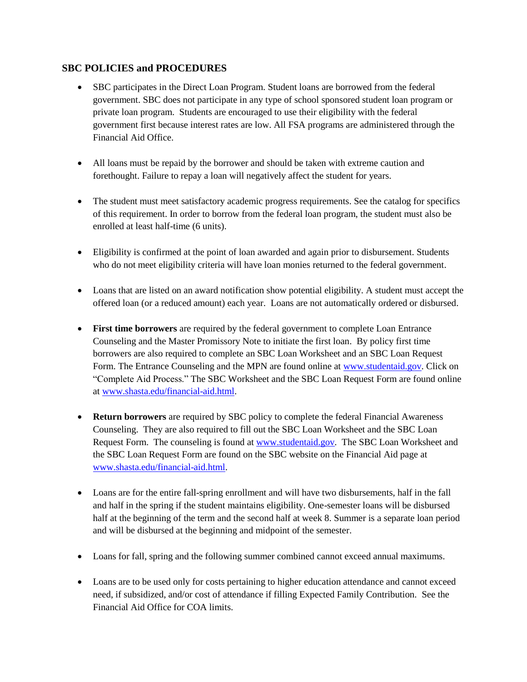## **SBC POLICIES and PROCEDURES**

- SBC participates in the Direct Loan Program. Student loans are borrowed from the federal government. SBC does not participate in any type of school sponsored student loan program or private loan program. Students are encouraged to use their eligibility with the federal government first because interest rates are low. All FSA programs are administered through the Financial Aid Office.
- All loans must be repaid by the borrower and should be taken with extreme caution and forethought. Failure to repay a loan will negatively affect the student for years.
- The student must meet satisfactory academic progress requirements. See the catalog for specifics of this requirement. In order to borrow from the federal loan program, the student must also be enrolled at least half-time (6 units).
- Eligibility is confirmed at the point of loan awarded and again prior to disbursement. Students who do not meet eligibility criteria will have loan monies returned to the federal government.
- Loans that are listed on an award notification show potential eligibility. A student must accept the offered loan (or a reduced amount) each year. Loans are not automatically ordered or disbursed.
- **First time borrowers** are required by the federal government to complete Loan Entrance Counseling and the Master Promissory Note to initiate the first loan. By policy first time borrowers are also required to complete an SBC Loan Worksheet and an SBC Loan Request Form. The Entrance Counseling and the MPN are found online at [www.studentaid.gov.](http://www.studentaid.gov/) Click on "Complete Aid Process." The SBC Worksheet and the SBC Loan Request Form are found online at [www.shasta.edu/financial-aid.html.](http://www.shasta.edu/financial-aid.html)
- **Return borrowers** are required by SBC policy to complete the federal Financial Awareness Counseling. They are also required to fill out the SBC Loan Worksheet and the SBC Loan Request Form. The counseling is found a[t www.studentaid.gov.](http://www.studentaid.gov/) The SBC Loan Worksheet and the SBC Loan Request Form are found on the SBC website on the Financial Aid page at [www.shasta.edu/financial-aid.html.](http://www.shasta.edu/financial-aid.html)
- Loans are for the entire fall-spring enrollment and will have two disbursements, half in the fall and half in the spring if the student maintains eligibility. One-semester loans will be disbursed half at the beginning of the term and the second half at week 8. Summer is a separate loan period and will be disbursed at the beginning and midpoint of the semester.
- Loans for fall, spring and the following summer combined cannot exceed annual maximums.
- Loans are to be used only for costs pertaining to higher education attendance and cannot exceed need, if subsidized, and/or cost of attendance if filling Expected Family Contribution. See the Financial Aid Office for COA limits.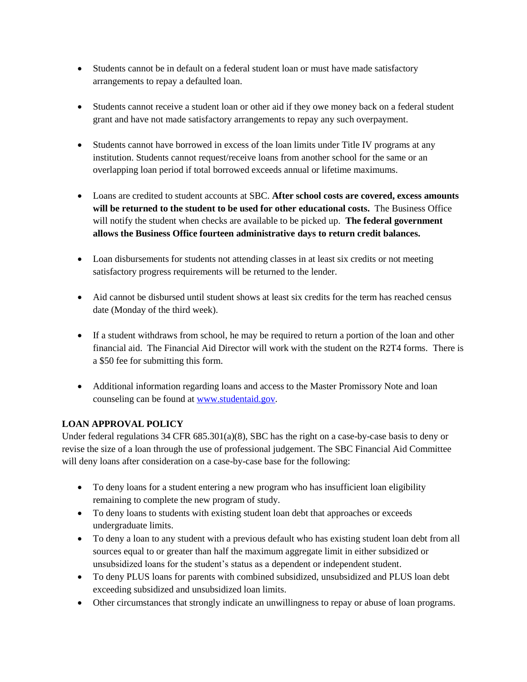- Students cannot be in default on a federal student loan or must have made satisfactory arrangements to repay a defaulted loan.
- Students cannot receive a student loan or other aid if they owe money back on a federal student grant and have not made satisfactory arrangements to repay any such overpayment.
- Students cannot have borrowed in excess of the loan limits under Title IV programs at any institution. Students cannot request/receive loans from another school for the same or an overlapping loan period if total borrowed exceeds annual or lifetime maximums.
- Loans are credited to student accounts at SBC. **After school costs are covered, excess amounts will be returned to the student to be used for other educational costs.** The Business Office will notify the student when checks are available to be picked up. **The federal government allows the Business Office fourteen administrative days to return credit balances.**
- Loan disbursements for students not attending classes in at least six credits or not meeting satisfactory progress requirements will be returned to the lender.
- Aid cannot be disbursed until student shows at least six credits for the term has reached census date (Monday of the third week).
- If a student withdraws from school, he may be required to return a portion of the loan and other financial aid. The Financial Aid Director will work with the student on the R2T4 forms. There is a \$50 fee for submitting this form.
- Additional information regarding loans and access to the Master Promissory Note and loan counseling can be found at [www.studentaid.gov.](http://www.studentaid.gov/)

# **LOAN APPROVAL POLICY**

Under federal regulations 34 CFR 685.301(a)(8), SBC has the right on a case-by-case basis to deny or revise the size of a loan through the use of professional judgement. The SBC Financial Aid Committee will deny loans after consideration on a case-by-case base for the following:

- To deny loans for a student entering a new program who has insufficient loan eligibility remaining to complete the new program of study.
- To deny loans to students with existing student loan debt that approaches or exceeds undergraduate limits.
- To deny a loan to any student with a previous default who has existing student loan debt from all sources equal to or greater than half the maximum aggregate limit in either subsidized or unsubsidized loans for the student's status as a dependent or independent student.
- To deny PLUS loans for parents with combined subsidized, unsubsidized and PLUS loan debt exceeding subsidized and unsubsidized loan limits.
- Other circumstances that strongly indicate an unwillingness to repay or abuse of loan programs.